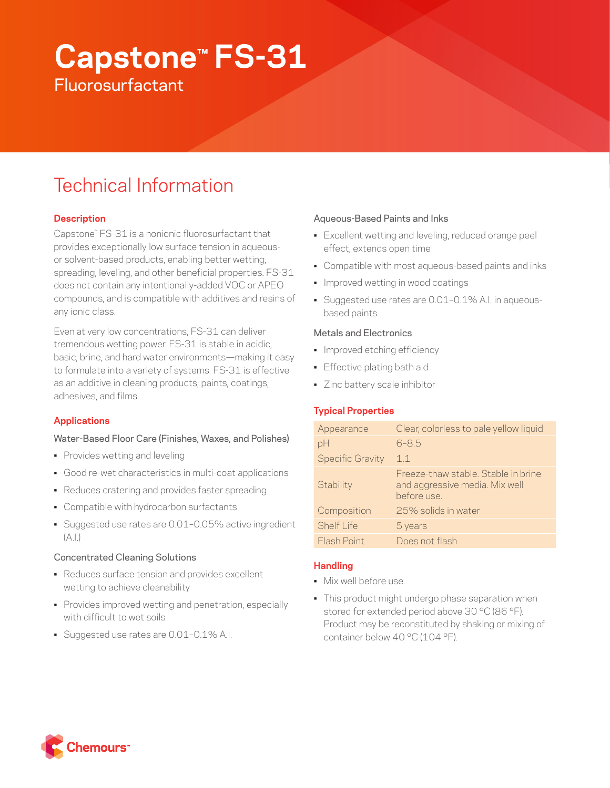# **Capstone™ FS-31 Fluorosurfactant**

# Technical Information

# **Description**

Capstone™ FS-31 is a nonionic fluorosurfactant that provides exceptionally low surface tension in aqueousor solvent-based products, enabling better wetting, spreading, leveling, and other beneficial properties. FS-31 does not contain any intentionally-added VOC or APEO compounds, and is compatible with additives and resins of any ionic class.

Even at very low concentrations, FS-31 can deliver tremendous wetting power. FS-31 is stable in acidic, basic, brine, and hard water environments—making it easy to formulate into a variety of systems. FS-31 is effective as an additive in cleaning products, paints, coatings, adhesives, and films.

# **Applications**

# Water-Based Floor Care (Finishes, Waxes, and Polishes)

- Provides wetting and leveling
- Good re-wet characteristics in multi-coat applications
- Reduces cratering and provides faster spreading
- Compatible with hydrocarbon surfactants
- Suggested use rates are 0.01–0.05% active ingredient  $(A.1)$

#### Concentrated Cleaning Solutions

- Reduces surface tension and provides excellent wetting to achieve cleanability
- Provides improved wetting and penetration, especially with difficult to wet soils
- Suggested use rates are 0.01–0.1% A.I.

#### Aqueous-Based Paints and Inks

- Excellent wetting and leveling, reduced orange peel effect, extends open time
- Compatible with most aqueous-based paints and inks
- Improved wetting in wood coatings
- Suggested use rates are 0.01–0.1% A.I. in aqueousbased paints

#### Metals and Electronics

- Improved etching efficiency
- Effective plating bath aid
- Zinc battery scale inhibitor

# **Typical Properties**

| Appearance              | Clear, colorless to pale yellow liquid                                              |
|-------------------------|-------------------------------------------------------------------------------------|
| pH                      | $6 - 8.5$                                                                           |
| <b>Specific Gravity</b> | 11                                                                                  |
| Stability               | Freeze-thaw stable. Stable in brine<br>and aggressive media. Mix well<br>before use |
| Composition             | 25% solids in water                                                                 |
| Shelf I ife             | 5 years                                                                             |
| Flash Point             | Does not flash                                                                      |

# **Handling**

- Mix well before use.
- This product might undergo phase separation when stored for extended period above 30 °C (86 °F). Product may be reconstituted by shaking or mixing of container below 40 °C (104 °F).